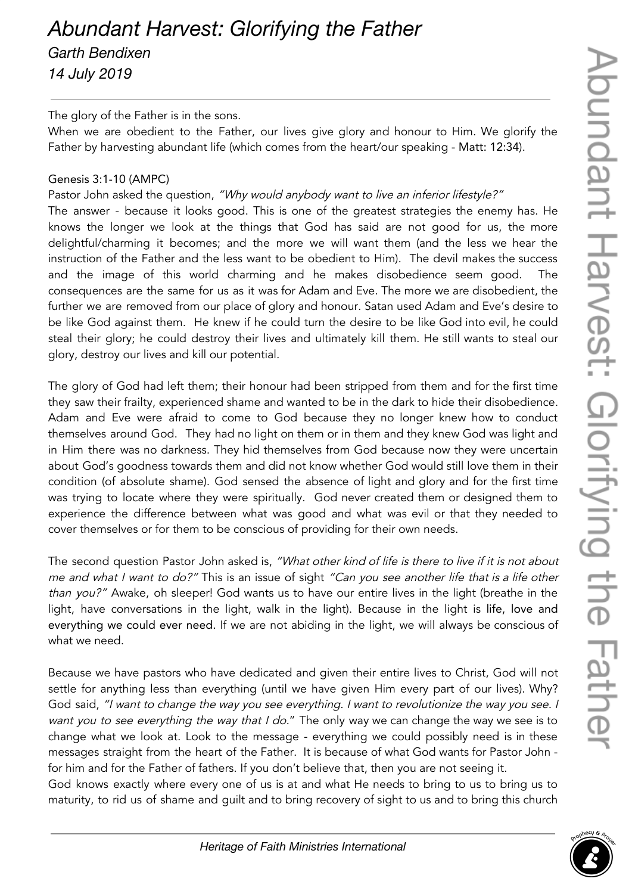## *Abundant Harvest: Glorifying the Father Garth Bendixen*

*14 July 2019*

## The glory of the Father is in the sons.

When we are obedient to the Father, our lives give glory and honour to Him. We glorify the Father by harvesting abundant life (which comes from the heart/our speaking - Matt: 12:34).

## Genesis 3:1-10 (AMPC)

Pastor John asked the question, "Why would anybody want to live an inferior lifestyle?"

The answer - because it looks good. This is one of the greatest strategies the enemy has. He knows the longer we look at the things that God has said are not good for us, the more delightful/charming it becomes; and the more we will want them (and the less we hear the instruction of the Father and the less want to be obedient to Him). The devil makes the success and the image of this world charming and he makes disobedience seem good. The consequences are the same for us as it was for Adam and Eve. The more we are disobedient, the further we are removed from our place of glory and honour. Satan used Adam and Eve's desire to be like God against them. He knew if he could turn the desire to be like God into evil, he could steal their glory; he could destroy their lives and ultimately kill them. He still wants to steal our glory, destroy our lives and kill our potential.

The glory of God had left them; their honour had been stripped from them and for the first time they saw their frailty, experienced shame and wanted to be in the dark to hide their disobedience. Adam and Eve were afraid to come to God because they no longer knew how to conduct themselves around God. They had no light on them or in them and they knew God was light and in Him there was no darkness. They hid themselves from God because now they were uncertain about God's goodness towards them and did not know whether God would still love them in their condition (of absolute shame). God sensed the absence of light and glory and for the first time was trying to locate where they were spiritually. God never created them or designed them to experience the difference between what was good and what was evil or that they needed to cover themselves or for them to be conscious of providing for their own needs.

The second question Pastor John asked is, "What other kind of life is there to live if it is not about me and what I want to do?" This is an issue of sight "Can you see another life that is a life other than you?" Awake, oh sleeper! God wants us to have our entire lives in the light (breathe in the light, have conversations in the light, walk in the light). Because in the light is life, love and everything we could ever need. If we are not abiding in the light, we will always be conscious of what we need.

Because we have pastors who have dedicated and given their entire lives to Christ, God will not settle for anything less than everything (until we have given Him every part of our lives). Why? God said, "I want to change the way you see everything. I want to revolutionize the way you see. I want you to see everything the way that I do." The only way we can change the way we see is to change what we look at. Look to the message - everything we could possibly need is in these messages straight from the heart of the Father. It is because of what God wants for Pastor John for him and for the Father of fathers. If you don't believe that, then you are not seeing it.

God knows exactly where every one of us is at and what He needs to bring to us to bring us to maturity, to rid us of shame and guilt and to bring recovery of sight to us and to bring this church